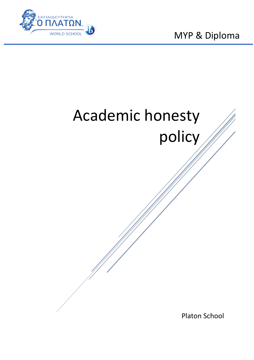

MYP & Diploma

# Academic honesty policy

Platon School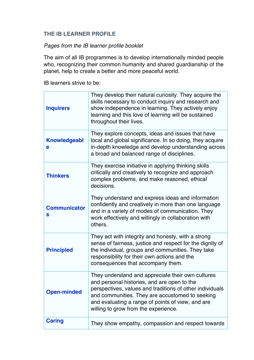## **THE IB LEARNER PROFILE**

## *Pages from the IB learner profile booklet*

The aim of all IB programmes is to develop internationally minded people who, recognizing their common humanity and shared guardianship of the planet, help to create a better and more peaceful world.

IB learners strive to be:

| <b>Inquirers</b>         | They develop their natural curiosity. They acquire the<br>skills necessary to conduct inquiry and research and<br>show independence in learning. They actively enjoy<br>learning and this love of learning will be sustained<br>throughout their lives.                                                      |
|--------------------------|--------------------------------------------------------------------------------------------------------------------------------------------------------------------------------------------------------------------------------------------------------------------------------------------------------------|
| <b>Knowledgeabl</b><br>е | They explore concepts, ideas and issues that have<br>local and global significance. In so doing, they acquire<br>in-depth knowledge and develop understanding across<br>a broad and balanced range of disciplines.                                                                                           |
| <b>Thinkers</b>          | They exercise initiative in applying thinking skills<br>critically and creatively to recognize and approach<br>complex problems, and make reasoned, ethical<br>decisions.                                                                                                                                    |
| <b>Communicator</b><br>S | They understand and express ideas and information<br>confidently and creatively in more than one language<br>and in a variety of modes of communication. They<br>work effectively and willingly in collaboration with<br>others.                                                                             |
| <b>Principled</b>        | They act with integrity and honesty, with a strong<br>sense of fairness, justice and respect for the dignity of<br>the individual, groups and communities. They take<br>responsibility for their own actions and the<br>consequences that accompany them.                                                    |
| <b>Open-minded</b>       | They understand and appreciate their own cultures<br>and personal histories, and are open to the<br>perspectives, values and traditions of other individuals<br>and communities. They are accustomed to seeking<br>and evaluating a range of points of view, and are<br>willing to grow from the experience. |
| <b>Caring</b>            | They show empathy, compassion and respect towards                                                                                                                                                                                                                                                            |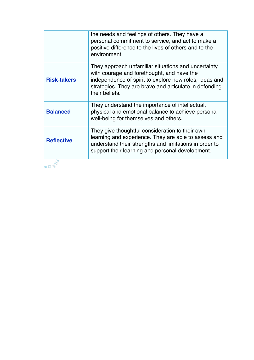|                    | the needs and feelings of others. They have a<br>personal commitment to service, and act to make a<br>positive difference to the lives of others and to the<br>environment.                                                             |
|--------------------|-----------------------------------------------------------------------------------------------------------------------------------------------------------------------------------------------------------------------------------------|
| <b>Risk-takers</b> | They approach unfamiliar situations and uncertainty<br>with courage and forethought, and have the<br>independence of spirit to explore new roles, ideas and<br>strategies. They are brave and articulate in defending<br>their beliefs. |
| <b>Balanced</b>    | They understand the importance of intellectual,<br>physical and emotional balance to achieve personal<br>well-being for themselves and others.                                                                                          |
| <b>Reflective</b>  | They give thoughtful consideration to their own<br>learning and experience. They are able to assess and<br>understand their strengths and limitations in order to<br>support their learning and personal development.                   |
| m D                |                                                                                                                                                                                                                                         |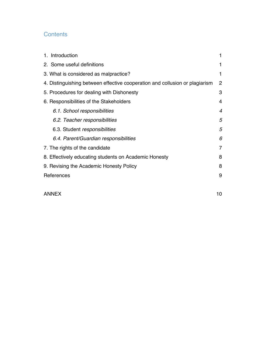## **Contents**

| 1. Introduction                                                             |                |  |
|-----------------------------------------------------------------------------|----------------|--|
| 2. Some useful definitions                                                  |                |  |
| 3. What is considered as malpractice?                                       |                |  |
| 4. Distinguishing between effective cooperation and collusion or plagiarism |                |  |
| 5. Procedures for dealing with Dishonesty                                   |                |  |
| 6. Responsibilities of the Stakeholders                                     |                |  |
| 6.1. School responsibilities                                                | $\overline{4}$ |  |
| 6.2. Teacher responsibilities                                               | 5              |  |
| 6.3. Student responsibilities                                               |                |  |
| 6.4. Parent/Guardian responsibilities                                       | 6              |  |
| 7. The rights of the candidate                                              |                |  |
| 8. Effectively educating students on Academic Honesty                       |                |  |
| 9. Revising the Academic Honesty Policy                                     |                |  |
| References                                                                  | 9              |  |
|                                                                             |                |  |
|                                                                             |                |  |

ANNEX 10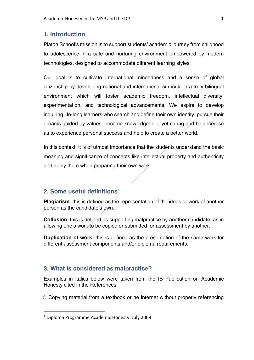#### **1. Introduction**

Platon School's mission is to support students' academic journey from childhood to adolescence in a safe and nurturing environment empowered by modern technologies, designed to accommodate different learning styles.

Our goal is to cultivate international mindedness and a sense of global citizenship by developing national and international curricula in a truly bilingual environment which will foster academic freedom, intellectual diversity, experimentation, and technological advancements. We aspire to develop inquiring life-long learners who search and define their own identity, pursue their dreams guided by values, become knowledgeable, yet caring and balanced so as to experience personal success and help to create a better world.

In this context, it is of utmost importance that the students understand the basic meaning and significance of concepts like intellectual property and authenticity and apply them when preparing their own work.

#### **2. Some useful definitions1**

**Plagiarism**: this is defined as the representation of the ideas or work of another person as the candidate's own.

**Collusion**: this is defined as supporting malpractice by another candidate, as in allowing one's work to be copied or submitted for assessment by another.

**Duplication of work**: this is defined as the presentation of the same work for different assessment components and/or diploma requirements.

#### **3. What is considered as malpractice?**

Examples in italics below were taken from the IB Publication on Academic Honesty cited in the References.

*1.* Copying material from a textbook or he internet without properly referencing

 <sup>1</sup> Diploma Programme Academic Honesty. July 2009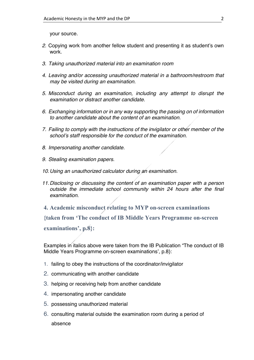your source.

- *2.* Copying work from another fellow student and presenting it as student's own work.
- *3. Taking unauthorized material into an examination room*
- *4. Leaving and/or accessing unauthorized material in a bathroom/restroom that may be visited during an examination.*
- *5. Misconduct during an examination, including any attempt to disrupt the examination or distract another candidate.*
- *6. Exchanging information or in any way supporting the passing on of information to another candidate about the content of an examination.*
- *7. Failing to comply with the instructions of the invigilator or other member of the school's staff responsible for the conduct of the examination.*
- *8. Impersonating another candidate.*
- *9. Stealing examination papers.*
- *10.Using an unauthorized calculator during an examination.*
- *11.Disclosing or discussing the content of an examination paper with a person outside the immediate school community within 24 hours after the final examination.*
- **4. Academic misconduct relating to MYP on-screen examinations**

**{taken from 'The conduct of IB Middle Years Programme on-screen** 

**examinations', p.8}:**

Examples in italics above were taken from the IB Publication "The conduct of IB Middle Years Programme on-screen examinations', p.8}:

- 1. failing to obey the instructions of the coordinator/invigilator
- 2. communicating with another candidate
- 3. helping or receiving help from another candidate
- 4. impersonating another candidate
- 5. possessing unauthorized material
- 6. consulting material outside the examination room during a period of absence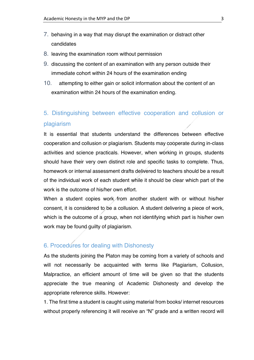- 7. behaving in a way that may disrupt the examination or distract other candidates
- 8. leaving the examination room without permission
- 9. discussing the content of an examination with any person outside their immediate cohort within 24 hours of the examination ending
- 10. attempting to either gain or solicit information about the content of an examination within 24 hours of the examination ending.

# 5. Distinguishing between effective cooperation and collusion or plagiarism

It is essential that students understand the differences between effective cooperation and collusion or plagiarism. Students may cooperate during in-class activities and science practicals. However, when working in groups, students should have their very own distinct role and specific tasks to complete. Thus, homework or internal assessment drafts delivered to teachers should be a result of the individual work of each student while it should be clear which part of the work is the outcome of his/her own effort.

When a student copies work from another student with or without his/her consent, it is considered to be a collusion. A student delivering a piece of work, which is the outcome of a group, when not identifying which part is his/her own work may be found guilty of plagiarism.

# 6. Procedures for dealing with Dishonesty

As the students joining the Platon may be coming from a variety of schools and will not necessarily be acquainted with terms like Plagiarism, Collusion, Malpractice, an efficient amount of time will be given so that the students appreciate the true meaning of Academic Dishonesty and develop the appropriate reference skills. However:

1. The first time a student is caught using material from books/ internet resources without properly referencing it will receive an "N" grade and a written record will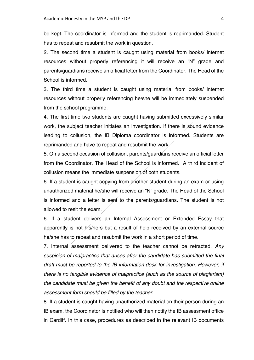be kept. The coordinator is informed and the student is reprimanded. Student has to repeat and resubmit the work in question.

2. The second time a student is caught using material from books/ internet resources without properly referencing it will receive an "N" grade and parents/guardians receive an official letter from the Coordinator. The Head of the School is informed.

3. The third time a student is caught using material from books/ internet resources without properly referencing he/she will be immediately suspended from the school programme.

4. The first time two students are caught having submitted excessively similar work, the subject teacher initiates an investigation. If there is sound evidence leading to collusion, the IB Diploma coordinator is informed. Students are reprimanded and have to repeat and resubmit the work.

5. On a second occasion of collusion, parents/guardians receive an official letter from the Coordinator. The Head of the School is informed. A third incident of collusion means the immediate suspension of both students.

6. If a student is caught copying from another student during an exam or using unauthorized material he/she will receive an "N" grade. The Head of the School is informed and a letter is sent to the parents/guardians. The student is not allowed to resit the exam.

6. If a student delivers an Internal Assessment or Extended Essay that apparently is not his/hers but a result of help received by an external source he/she has to repeat and resubmit the work in a short period of time.

7. Internal assessment delivered to the teacher cannot be retracted. *Any suspicion of malpractice that arises after the candidate has submitted the final draft must be reported to the IB information desk for investigation. However, if there is no tangible evidence of malpractice (such as the source of plagiarism) the candidate must be given the benefit of any doubt and the respective online assessment form should be filled by the teacher.* 

8. If a student is caught having unauthorized material on their person during an IB exam, the Coordinator is notified who will then notify the IB assessment office in Cardiff. In this case, procedures as described in the relevant IB documents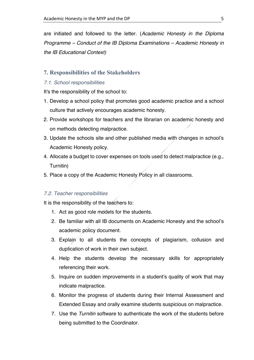are initiated and followed to the letter. (*Academic Honesty in the Diploma Programme – Conduct of the IB Diploma Examinations – Academic Honesty in the IB Educational Context)*

#### **7. Responsibilities of the Stakeholders**

#### *7.1. School responsibilities*

It's the responsibility of the school to:

- 1. Develop a school policy that promotes good academic practice and a school culture that actively encourages academic honesty.
- 2. Provide workshops for teachers and the librarian on academic honesty and on methods detecting malpractice.
- 3. Update the schools site and other published media with changes in school's Academic Honesty policy.
- 4. Allocate a budget to cover expenses on tools used to detect malpractice (e.g., Turnitin)
- 5. Place a copy of the Academic Honesty Policy in all classrooms.

#### *7.2. Teacher responsibilities*

It is the responsibility of the teachers to:

- 1. Act as good role models for the students.
- 2. Be familiar with all IB documents on Academic Honesty and the school's academic policy document.
- 3. Explain to all students the concepts of plagiarism, collusion and duplication of work in their own subject.
- 4. Help the students develop the necessary skills for appropriately referencing their work.
- 5. Inquire on sudden improvements in a student's quality of work that may indicate malpractice.
- 6. Monitor the progress of students during their Internal Assessment and Extended Essay and orally examine students suspicious on malpractice.
- 7. Use the *Turnitin* software to authenticate the work of the students before being submitted to the Coordinator.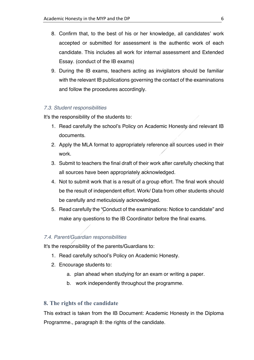- 8. Confirm that, to the best of his or her knowledge, all candidates' work accepted or submitted for assessment is the authentic work of each candidate. This includes all work for internal assessment and Extended Essay. (conduct of the IB exams)
- 9. During the IB exams, teachers acting as invigilators should be familiar with the relevant IB publications governing the contact of the examinations and follow the procedures accordingly.

#### *7.3. Student responsibilities*

It's the responsibility of the students to:

- 1. Read carefully the school's Policy on Academic Honesty and relevant IB documents.
- 2. Apply the MLA format to appropriately reference all sources used in their work.
- 3. Submit to teachers the final draft of their work after carefully checking that all sources have been appropriately acknowledged.
- 4. Not to submit work that is a result of a group effort. The final work should be the result of independent effort. Work/ Data from other students should be carefully and meticulously acknowledged.
- 5. Read carefully the "Conduct of the examinations: Notice to candidate" and make any questions to the IB Coordinator before the final exams.

#### *7.4. Parent/Guardian responsibilities*

It's the responsibility of the parents/Guardians to:

- 1. Read carefully school's Policy on Academic Honesty.
- 2. Encourage students to:
	- a. plan ahead when studying for an exam or writing a paper.
	- b. work independently throughout the programme.

#### **8. The rights of the candidate**

This extract is taken from the IB Document: Academic Honesty in the Diploma Programme., paragraph 8: the rights of the candidate.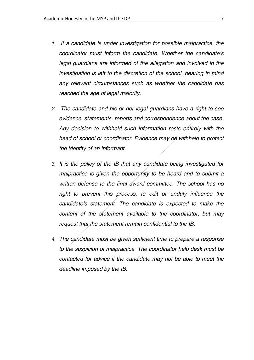- *1. If a candidate is under investigation for possible malpractice, the coordinator must inform the candidate. Whether the candidate's legal guardians are informed of the allegation and involved in the investigation is left to the discretion of the school, bearing in mind any relevant circumstances such as whether the candidate has reached the age of legal majority.*
- *2. The candidate and his or her legal guardians have a right to see evidence, statements, reports and correspondence about the case. Any decision to withhold such information rests entirely with the head of school or coordinator. Evidence may be withheld to protect the identity of an informant.*
- *3. It is the policy of the IB that any candidate being investigated for malpractice is given the opportunity to be heard and to submit a written defense to the final award committee. The school has no*  right to prevent this process, to edit or unduly influence the *candidate's statement. The candidate is expected to make the content of the statement available to the coordinator, but may request that the statement remain confidential to the IB.*
- *4. The candidate must be given sufficient time to prepare a response to the suspicion of malpractice. The coordinator help desk must be contacted for advice if the candidate may not be able to meet the deadline imposed by the IB.*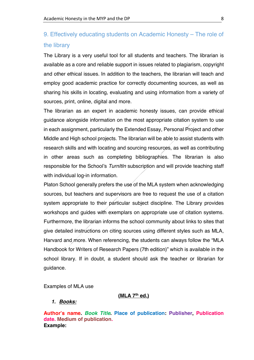# 9. Effectively educating students on Academic Honesty – The role of the library

The Library is a very useful tool for all students and teachers. The librarian is available as a core and reliable support in issues related to plagiarism, copyright and other ethical issues. In addition to the teachers, the librarian will teach and employ good academic practice for correctly documenting sources, as well as sharing his skills in locating, evaluating and using information from a variety of sources, print, online, digital and more.

The librarian as an expert in academic honesty issues, can provide ethical guidance alongside information on the most appropriate citation system to use in each assignment, particularly the Extended Essay, Personal Project and other Middle and High school projects. The librarian will be able to assist students with research skills and with locating and sourcing resources, as well as contributing in other areas such as completing bibliographies. The librarian is also responsible for the School's *TurnItIn* subscription and will provide teaching staff with individual log-in information.

Platon School generally prefers the use of the MLA system when acknowledging sources, but teachers and supervisors are free to request the use of a citation system appropriate to their particular subject discipline. The Library provides workshops and guides with exemplars on appropriate use of citation systems. Furthermore, the librarian informs the school community about links to sites that give detailed instructions on citing sources using different styles such as MLA, Harvard and more. When referencing, the students can always follow the "MLA Handbook for Writers of Research Papers (7th edition)" which is available in the school library. If in doubt, a student should ask the teacher or librarian for guidance.

Examples of MLA use

#### **(MLA 7th ed.)**

#### *1. Books:*

**Author's name.** *Book Title***. Place of publication: Publisher, Publication date. Medium of publication. Example:**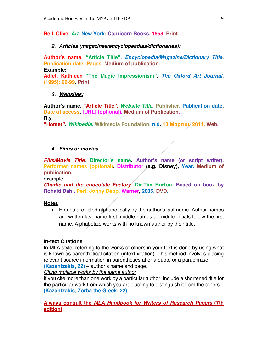**Bell, Clive.** *Art***. New York: Capricorn Books, 1958. Print.** 

#### *2. Articles (magazines/encyclopeadias/dictionaries):*

**Author's name. "Article Title".** *Encyclopedia/Magazine/Dictionary Title***. Publication date: Pages. Medium of publication.**

**Example:** 

**Adlet, Kathleen "The Magic Impressionism".** *The Oxford Art Journal.*  **(1995): 96-99. Print.**

#### *3. Websites:*

**Author's name. "Article Title".** *Website Title***. Publisher. Publication date. Date of access. [URL] (optional). Medium of Publication.**

**Π.χ**

**"Homer".** *Wikipedia.* **Wikimedia Foundation. n.d. 13 Μαρτίου 2011. Web.**

#### *4. Films or movies*

*Film/Movie Title***. Director's name. Author's name (or script writer). Performer names (optional). Distributor (e.g. Disney), Year. Medium of publication.**

example:

*Charlie and the chocolate Factory***. Dir.Tim Burton. Based on book by Rohald Dahl. Perf. Jonny Depp. Warner, 2005. DVD.**

#### **Notes**

• Entries are listed alphabetically by the author's last name. Author names are written last name first; middle names or middle initials follow the first name. Alphabetize works with no known author by their title.

#### **In-text Citations**

In MLA style, referring to the works of others in your text is done by using what is known as parenthetical citation (intext xitation). This method involves placing relevant source information in parentheses after a quote or a paraphrase.

**(Kazantzakis, 22)** – author's name and page.

*Citing multiple works by the same author*

If you cite more than one work by a particular author, include a shortened title for the particular work from which you are quoting to distinguish it from the others. **(Kazantzakis, Zorba the Greek, 22)**

#### **Always consult the** *MLA Handbook for Writers of Research Papers* **(7th edition)**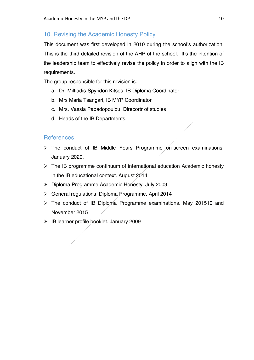## 10. Revising the Academic Honesty Policy

This document was first developed in 2010 during the school's authorization. This is the third detailed revision of the AHP of the school. It's the intention of the leadership team to effectively revise the policy in order to align with the IB requirements.

The group responsible for this revision is:

- a. Dr. Miltiadis-Spyridon Kitsos, IB Diploma Coordinator
- b. Mrs Maria Tsangari, IB MYP Coordinator
- c. Mrs. Vassia Papadopoulou, Direcortr of studies
- d. Heads of the IB Departments.

### References

- Ø The conduct of IB Middle Years Programme on-screen examinations. January 2020.
- $\triangleright$  The IB programme continuum of international education Academic honesty in the IB educational context. August 2014
- Ø Diploma Programme Academic Honesty. July 2009
- Ø General regulations: Diploma Programme. April 2014
- $\triangleright$  The conduct of IB Diploma Programme examinations. May 201510 and November 2015
- $\triangleright$  IB learner profile booklet. January 2009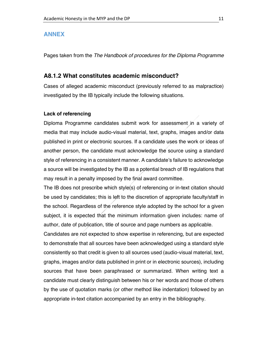#### **ANNEX**

Pages taken from the *The Handbook of procedures for the Diploma Programme*

#### **A8.1.2 What constitutes academic misconduct?**

Cases of alleged academic misconduct (previously referred to as malpractice) investigated by the IB typically include the following situations.

#### **Lack of referencing**

Diploma Programme candidates submit work for assessment in a variety of media that may include audio-visual material, text, graphs, images and/or data published in print or electronic sources. If a candidate uses the work or ideas of another person, the candidate must acknowledge the source using a standard style of referencing in a consistent manner. A candidate's failure to acknowledge a source will be investigated by the IB as a potential breach of IB regulations that may result in a penalty imposed by the final award committee.

The IB does not prescribe which style(s) of referencing or in-text citation should be used by candidates; this is left to the discretion of appropriate faculty/staff in the school. Regardless of the reference style adopted by the school for a given subject, it is expected that the minimum information given includes: name of author, date of publication, title of source and page numbers as applicable.

Candidates are not expected to show expertise in referencing, but are expected to demonstrate that all sources have been acknowledged using a standard style consistently so that credit is given to all sources used (audio-visual material, text, graphs, images and/or data published in print or in electronic sources), including sources that have been paraphrased or summarized. When writing text a candidate must clearly distinguish between his or her words and those of others by the use of quotation marks (or other method like indentation) followed by an appropriate in-text citation accompanied by an entry in the bibliography.